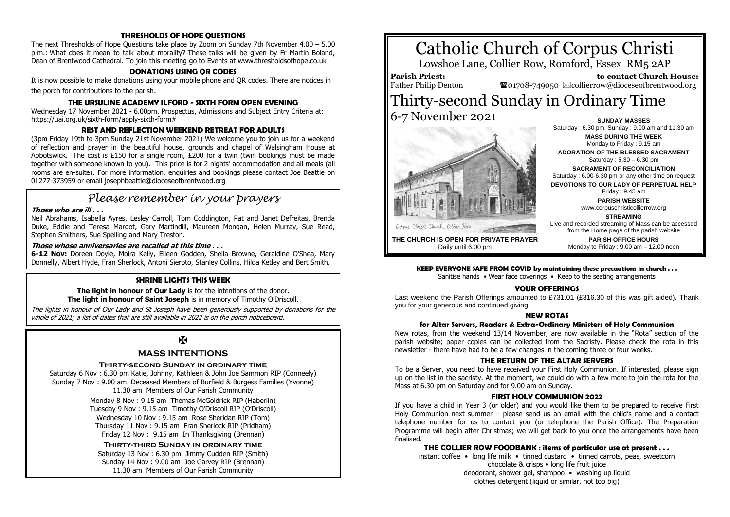# **THRESHOLDS OF HOPE QUESTIONS**

The next Thresholds of Hope Questions take place by Zoom on Sunday 7th November 4.00 – 5.00 p.m.: What does it mean to talk about morality? These talks will be given by Fr Martin Boland, Dean of Brentwood Cathedral. To join this meeting go to Events at www.thresholdsofhope.co.uk

#### **DONATIONS USING QR CODES**

It is now possible to make donations using your mobile phone and QR codes. There are notices in the porch for contributions to the parish.

#### **THE URSULINE ACADEMY ILFORD - SIXTH FORM OPEN EVENING**

Wednesday 17 November 2021 - 6.00pm. Prospectus, Admissions and Subject Entry Criteria at: https://uai.org.uk/sixth-form/apply-sixth-form#

# **REST AND REFLECTION WEEKEND RETREAT FOR ADULTS**

(3pm Friday 19th to 3pm Sunday 21st November 2021) We welcome you to join us for a weekend of reflection and prayer in the beautiful house, grounds and chapel of Walsingham House at Abbotswick. The cost is £150 for a single room,  $E200$  for a twin (twin bookings must be made together with someone known to you). This price is for 2 nights' accommodation and all meals (all rooms are en-suite). For more information, enquiries and bookings please contact Joe Beattie on 01277-373959 or email josephbeattie@dioceseofbrentwood.org

# *Please remember in your prayers*

#### **Those who are ill . . .**

Neil Abrahams, Isabella Ayres, Lesley Carroll, Tom Coddington, Pat and Janet Defreitas, Brenda Duke, Eddie and Teresa Margot, Gary Martindill, Maureen Mongan, Helen Murray, Sue Read, Stephen Smithers, Sue Spelling and Mary Treston.

# **Those whose anniversaries are recalled at this time . . .**

**6-12 Nov:** Doreen Doyle, Moira Kelly, Eileen Godden, Sheila Browne, Geraldine O'Shea, Mary Donnelly, Albert Hyde, Fran Sherlock, Antoni Sieroto, Stanley Collins, Hilda Ketley and Bert Smith.

# **SHRINE LIGHTS THIS WEEK**

#### **The light in honour of Our Lady** is for the intentions of the donor. **The light in honour of Saint Joseph** is in memory of Timothy O'Driscoll.

The lights in honour of Our Lady and St Joseph have been generously supported by donations for the whole of 2021; a list of dates that are still available in 2022 is on the porch noticeboard.

# $\mathbf K$

# **MASS INTENTIONS**

#### **Thirty-second Sunday in ordinary time**

Saturday 6 Nov : 6.30 pm Katie, Johnny, Kathleen & John Joe Sammon RIP (Conneely) Sunday 7 Nov : 9.00 am Deceased Members of Burfield & Burgess Families (Yvonne) 11.30 am Members of Our Parish Community

> Monday 8 Nov : 9.15 am Thomas McGoldrick RIP (Haberlin) Tuesday 9 Nov : 9.15 am Timothy O'Driscoll RIP (O'Driscoll) Wednesday 10 Nov : 9.15 am Rose Sheridan RIP (Tom) Thursday 11 Nov : 9.15 am Fran Sherlock RIP (Pridham) Friday 12 Nov : 9.15 am In Thanksgiving (Brennan)

# **Thirty-third Sunday in ordinary time** Saturday 13 Nov : 6.30 pm Jimmy Cudden RIP (Smith) Sunday 14 Nov : 9.00 am Joe Garvey RIP (Brennan)

11.30 am Members of Our Parish Community

# Catholic Church of Corpus Christi

Lowshoe Lane, Collier Row, Romford, Essex RM5 2AP

**Parish Priest:** Father Philip Denton

 **to contact Church House: To**01708-749050  $\boxtimes$  collierrow@dioceseofbrentwood.org

# Thirty-second Sunday in Ordinary Time 6-7 November 2021 **SUNDAY MASSES**



Saturday : 6.30 pm, Sunday : 9.00 am and 11.30 am **MASS DURING THE WEEK** Monday to Friday : 9.15 am **ADORATION OF THE BLESSED SACRAMENT** Saturday : 5.30 – 6.30 pm **SACRAMENT OF RECONCILIATION** Saturday : 6.00-6.30 pm or any other time on request **DEVOTIONS TO OUR LADY OF PERPETUAL HELP** Friday : 9.45 am **PARISH WEBSITE**

www.corpuschristicollierrow.org

**STREAMING**

Live and recorded streaming of Mass can be accessed from the Home page of the parish website **PARISH OFFICE HOURS** Monday to Friday : 9.00 am – 12.00 noon

**THE CHURCH IS OPEN FOR PRIVATE PRAYER** Daily until 6.00 pm

#### **KEEP EVERYONE SAFE FROM COVID by maintaining these precautions in church . . .**

Sanitise hands • Wear face coverings • Keep to the seating arrangements

# **YOUR OFFERINGS**

Last weekend the Parish Offerings amounted to £731.01 (£316.30 of this was gift aided). Thank you for your generous and continued giving.

#### **NEW ROTAS**

#### **for Altar Servers, Readers & Extra-Ordinary Ministers of Holy Communion**

New rotas, from the weekend 13/14 November, are now available in the "Rota" section of the parish website; paper copies can be collected from the Sacristy. Please check the rota in this newsletter - there have had to be a few changes in the coming three or four weeks.

#### **THE RETURN OF THE ALTAR SERVERS**

To be a Server, you need to have received your First Holy Communion. If interested, please sign up on the list in the sacristy. At the moment, we could do with a few more to join the rota for the Mass at 6.30 pm on Saturday and for 9.00 am on Sunday.

#### **FIRST HOLY COMMUNION 2022**

If you have a child in Year 3 (or older) and you would like them to be prepared to receive First Holy Communion next summer – please send us an email with the child's name and a contact telephone number for us to contact you (or telephone the Parish Office). The Preparation Programme will begin after Christmas; we will get back to you once the arrangements have been finalised.

#### **THE COLLIER ROW FOODBANK : items of particular use at present . . .**

instant coffee • long life milk • tinned custard • tinned carrots, peas, sweetcorn chocolate & crisps • long life fruit juice deodorant, shower gel, shampoo • washing up liquid clothes detergent (liquid or similar, not too big)